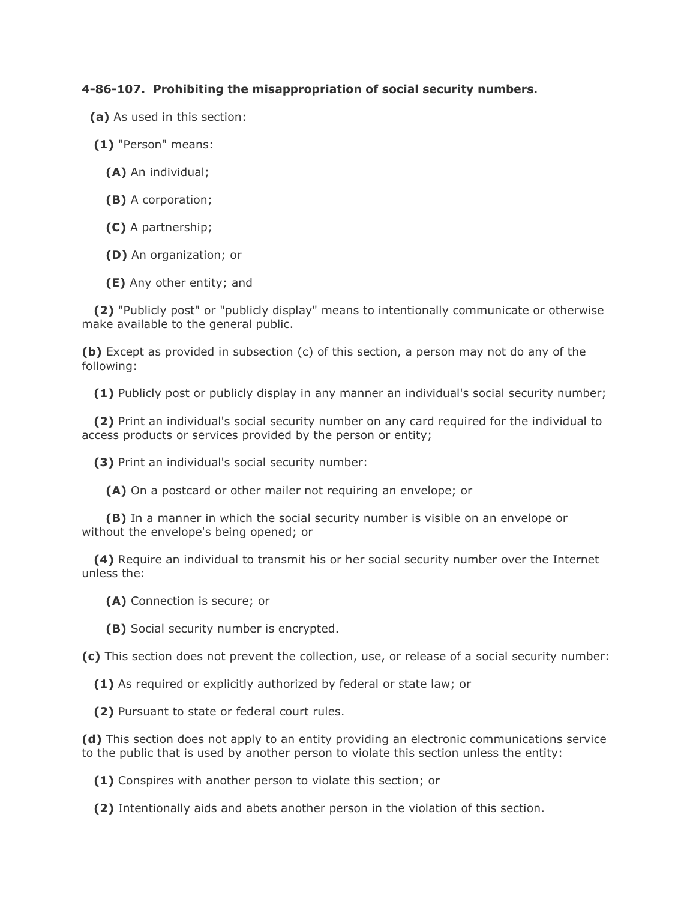## **4-86-107. Prohibiting the misappropriation of social security numbers.**

- **(a)** As used in this section:
- **(1)** "Person" means:
	- **(A)** An individual;
	- **(B)** A corporation;
	- **(C)** A partnership;
	- **(D)** An organization; or
	- **(E)** Any other entity; and

 **(2)** "Publicly post" or "publicly display" means to intentionally communicate or otherwise make available to the general public.

**(b)** Except as provided in subsection (c) of this section, a person may not do any of the following:

**(1)** Publicly post or publicly display in any manner an individual's social security number;

 **(2)** Print an individual's social security number on any card required for the individual to access products or services provided by the person or entity;

**(3)** Print an individual's social security number:

**(A)** On a postcard or other mailer not requiring an envelope; or

 **(B)** In a manner in which the social security number is visible on an envelope or without the envelope's being opened; or

 **(4)** Require an individual to transmit his or her social security number over the Internet unless the:

**(A)** Connection is secure; or

**(B)** Social security number is encrypted.

**(c)** This section does not prevent the collection, use, or release of a social security number:

**(1)** As required or explicitly authorized by federal or state law; or

**(2)** Pursuant to state or federal court rules.

**(d)** This section does not apply to an entity providing an electronic communications service to the public that is used by another person to violate this section unless the entity:

**(1)** Conspires with another person to violate this section; or

**(2)** Intentionally aids and abets another person in the violation of this section.